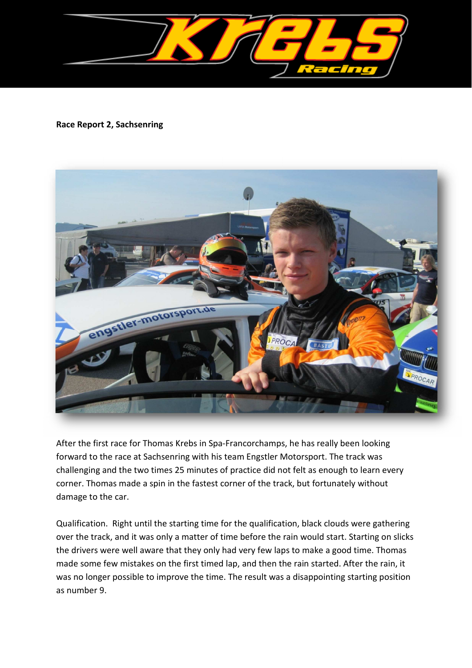

## **Race Report 2, Sachsenring**



After the first race for Thomas Krebs in Spa-Francorchamps, he has really been looking forward to the race at Sachsenring with his team Engstler Motorsport. The track was challenging and the two times 25 minutes of practice did not felt as enough to learn every corner. Thomas made a spin in the fastest corner of the track, but fortunately without damage to the car.

Qualification. Right until the starting time for the qualification, black clouds were gathering over the track, and it was only a matter of time before the rain would start. Starting on slicks the drivers were well aware that they only had very few laps to make a good time. Thomas made some few mistakes on the first timed lap, and then the rain started. After the rain, it was no longer possible to improve the time. The result was a disappointing starting position as number 9.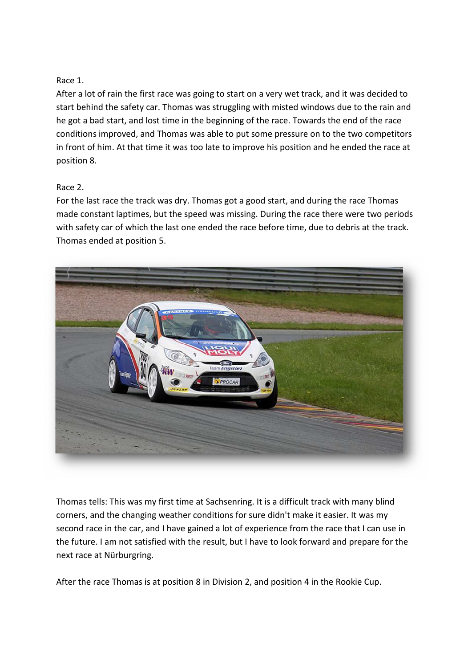## Race 1.

After a lot of rain the first race was going to start on a very wet track, and it was decided to start behind the safety car. Thomas was struggling with misted windows due to the rain and he got a bad start, and lost time in the beginning of the race. Towards the end of the race conditions improved, and Thomas was able to put some pressure on to the two competitors in front of him. At that time it was too late to improve his position and he ended the race at position 8.

## Race 2.

For the last race the track was dry. Thomas got a good start, and during the race Thomas made constant laptimes, but the speed was missing. During the race there were two periods with safety car of which the last one ended the race before time, due to debris at the track. Thomas ended at position 5.



Thomas tells: This was my first time at Sachsenring. It is a difficult track with many blind corners, and the changing weather conditions for sure didn't make it easier. It was my second race in the car, and I have gained a lot of experience from the race that I can use in the future. I am not satisfied with the result, but I have to look forward and prepare for the next race at Nürburgring.

After the race Thomas is at position 8 in Division 2, and position 4 in the Rookie Cup.